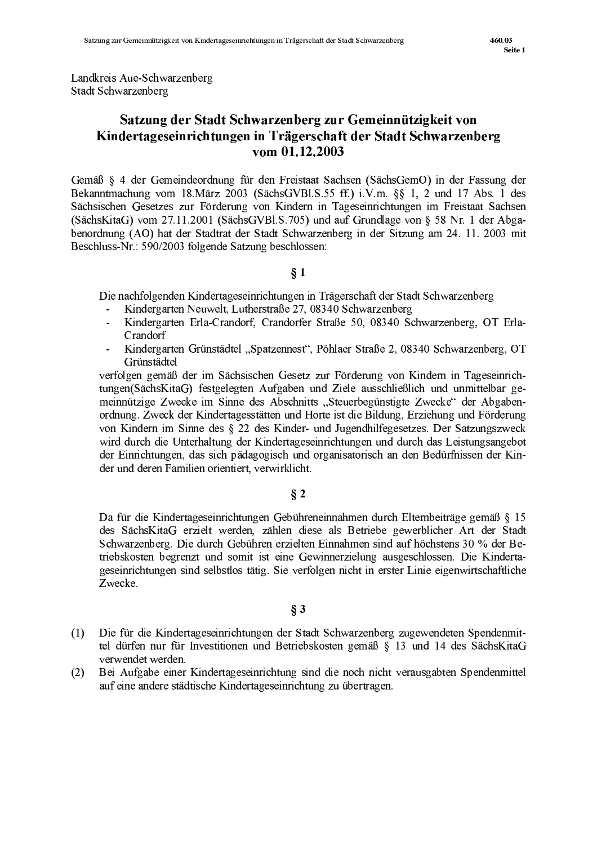Landkreis Aue-Schwarzenberg Stadt Schwarzenberg

# Satzung der Stadt Schwarzenberg zur Gemeinnützigkeit von Kindertageseinrichtungen in Trägerschaft der Stadt Schwarzenberg vom 01.12.2003

Gemäß § 4 der Gemeindeordnung für den Freistaat Sachsen (SächsGemO) in der Fassung der Bekanntmachung vom 18. März 2003 (SächsGVBl. S.55 ff.) i.V.m. §§ 1, 2 und 17 Abs. 1 des Sächsischen Gesetzes zur Förderung von Kindern in Tageseinrichtungen im Freistaat Sachsen (SächsKitaG) vom 27.11.2001 (SächsGVBl.S.705) und auf Grundlage von § 58 Nr. 1 der Abgabenordnung (AO) hat der Stadtrat der Stadt Schwarzenberg in der Sitzung am 24. 11. 2003 mit Beschluss-Nr.: 590/2003 folgende Satzung beschlossen:

#### $§ 1$

Die nachfolgenden Kindertageseinrichtungen in Trägerschaft der Stadt Schwarzenberg

- Kindergarten Neuwelt, Lutherstraße 27, 08340 Schwarzenberg
- Kindergarten Erla-Crandorf. Crandorfer Straße 50, 08340 Schwarzenberg, OT Erla- $\mathbf{r}$ Crandorf
- Kindergarten Grünstädtel "Spatzennest", Pöhlaer Straße 2, 08340 Schwarzenberg, OT Grünstädtel

verfolgen gemäß der im Sächsischen Gesetz zur Förderung von Kindern in Tageseinrichtungen(SächsKitaG) festgelegten Aufgaben und Ziele ausschließlich und unmittelbar gemeinnützige Zwecke im Sinne des Abschnitts "Steuerbegünstigte Zwecke" der Abgabenordnung. Zweck der Kindertagesstätten und Horte ist die Bildung, Erziehung und Förderung von Kindern im Sinne des § 22 des Kinder- und Jugendhilfegesetzes. Der Satzungszweck wird durch die Unterhaltung der Kindertageseinrichtungen und durch das Leistungsangebot der Einrichtungen, das sich pädagogisch und organisatorisch an den Bedürfnissen der Kinder und deren Familien orientiert, verwirklicht.

#### $\S 2$

Da für die Kindertageseinrichtungen Gebühreneinnahmen durch Elternbeiträge gemäß § 15 des SächsKitaG erzielt werden, zählen diese als Betriebe gewerblicher Art der Stadt Schwarzenberg. Die durch Gebühren erzielten Einnahmen sind auf höchstens 30 % der Betriebskosten begrenzt und somit ist eine Gewinnerzielung ausgeschlossen. Die Kindertageseinrichtungen sind selbstlos tätig. Sie verfolgen nicht in erster Linie eigenwirtschaftliche Zwecke

#### $\S 3$

- Die für die Kindertageseinrichtungen der Stadt Schwarzenberg zugewendeten Spendenmit- $(1)$ tel dürfen nur für Investitionen und Betriebskosten gemäß § 13 und 14 des SächsKitaG verwendet werden
- Bei Aufgabe einer Kindertageseinrichtung sind die noch nicht verausgabten Spendenmittel  $(2)$ auf eine andere städtische Kindertageseinrichtung zu übertragen.